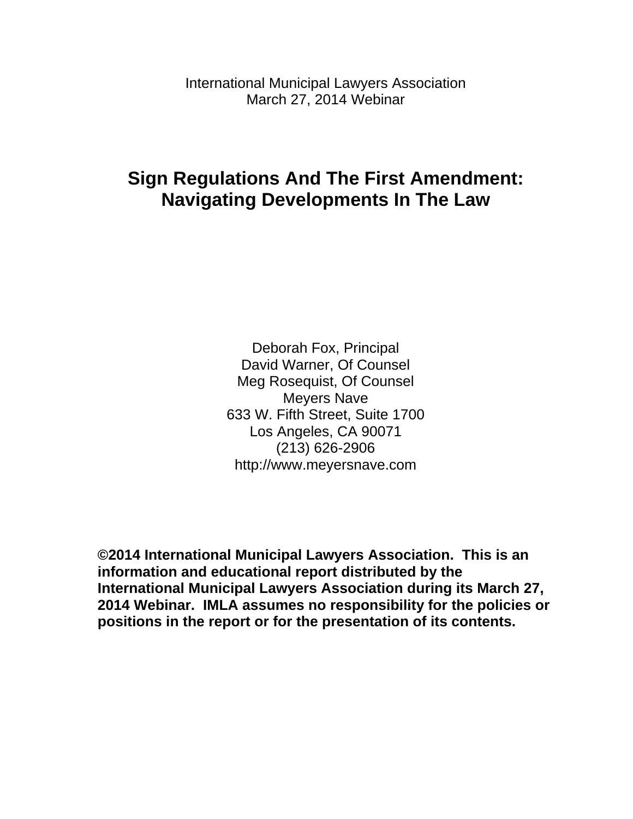International Municipal Lawyers Association March 27, 2014 Webinar

# **Sign Regulations And The First Amendment: Navigating Developments In The Law**

Deborah Fox, Principal David Warner, Of Counsel Meg Rosequist, Of Counsel Meyers Nave 633 W. Fifth Street, Suite 1700 Los Angeles, CA 90071 (213) 626-2906 http://www.meyersnave.com

**©2014 International Municipal Lawyers Association. This is an information and educational report distributed by the International Municipal Lawyers Association during its March 27, 2014 Webinar. IMLA assumes no responsibility for the policies or positions in the report or for the presentation of its contents.**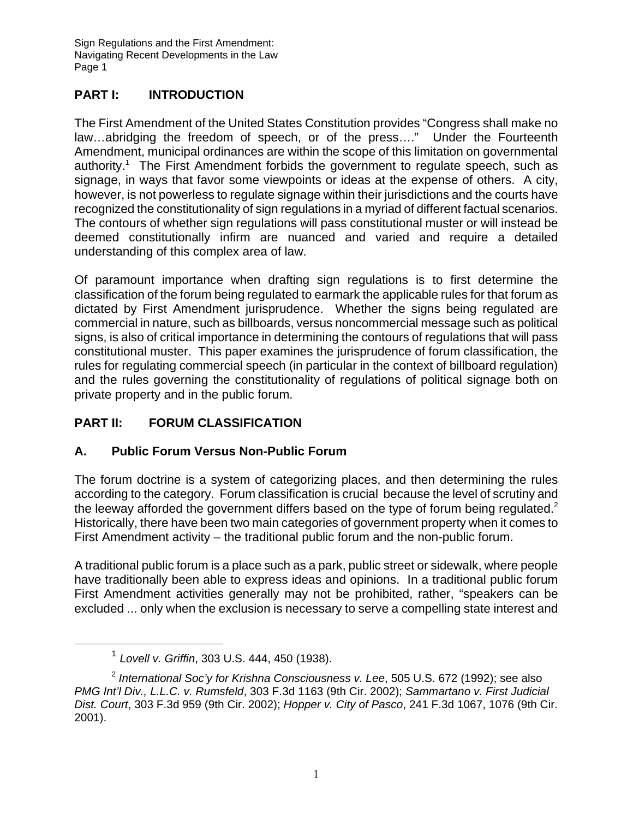## **PART I: INTRODUCTION**

The First Amendment of the United States Constitution provides "Congress shall make no law…abridging the freedom of speech, or of the press…." Under the Fourteenth Amendment, municipal ordinances are within the scope of this limitation on governmental authority.<sup>1</sup> The First Amendment forbids the government to regulate speech, such as signage, in ways that favor some viewpoints or ideas at the expense of others. A city, however, is not powerless to regulate signage within their jurisdictions and the courts have recognized the constitutionality of sign regulations in a myriad of different factual scenarios. The contours of whether sign regulations will pass constitutional muster or will instead be deemed constitutionally infirm are nuanced and varied and require a detailed understanding of this complex area of law.

Of paramount importance when drafting sign regulations is to first determine the classification of the forum being regulated to earmark the applicable rules for that forum as dictated by First Amendment jurisprudence. Whether the signs being regulated are commercial in nature, such as billboards, versus noncommercial message such as political signs, is also of critical importance in determining the contours of regulations that will pass constitutional muster. This paper examines the jurisprudence of forum classification, the rules for regulating commercial speech (in particular in the context of billboard regulation) and the rules governing the constitutionality of regulations of political signage both on private property and in the public forum.

## **PART II: FORUM CLASSIFICATION**

## **A. Public Forum Versus Non-Public Forum**

The forum doctrine is a system of categorizing places, and then determining the rules according to the category. Forum classification is crucial because the level of scrutiny and the leeway afforded the government differs based on the type of forum being regulated.<sup>2</sup> Historically, there have been two main categories of government property when it comes to First Amendment activity – the traditional public forum and the non-public forum.

A traditional public forum is a place such as a park, public street or sidewalk, where people have traditionally been able to express ideas and opinions. In a traditional public forum First Amendment activities generally may not be prohibited, rather, "speakers can be excluded ... only when the exclusion is necessary to serve a compelling state interest and

<sup>1</sup> *Lovell v. Griffin*, 303 U.S. 444, 450 (1938).

<sup>2</sup> *International Soc'y for Krishna Consciousness v. Lee*, 505 U.S. 672 (1992); see also *PMG Int'l Div., L.L.C. v. Rumsfeld*, 303 F.3d 1163 (9th Cir. 2002); *Sammartano v. First Judicial Dist. Court*, 303 F.3d 959 (9th Cir. 2002); *Hopper v. City of Pasco*, 241 F.3d 1067, 1076 (9th Cir. 2001).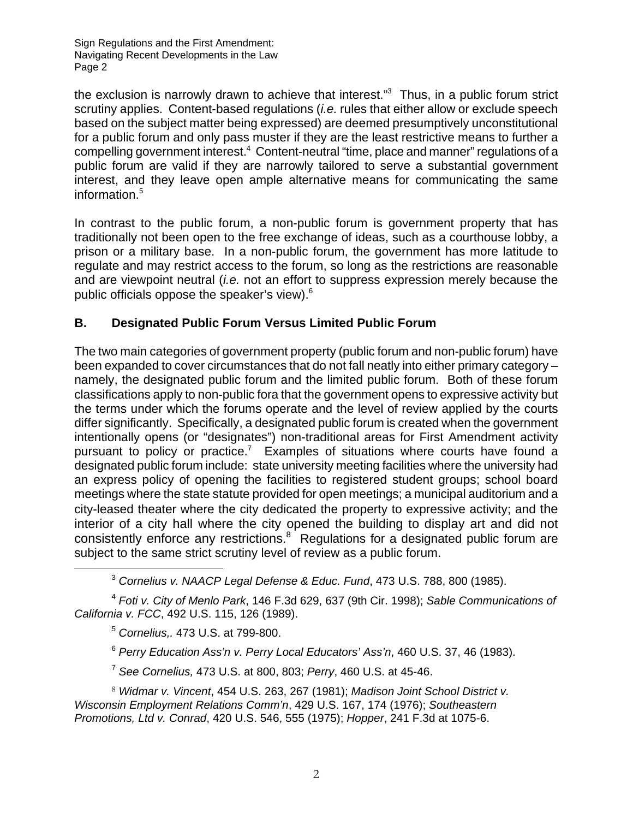the exclusion is narrowly drawn to achieve that interest."<sup>3</sup> Thus, in a public forum strict scrutiny applies. Content-based regulations (*i.e.* rules that either allow or exclude speech based on the subject matter being expressed) are deemed presumptively unconstitutional for a public forum and only pass muster if they are the least restrictive means to further a compelling government interest.<sup>4</sup> Content-neutral "time, place and manner" regulations of a public forum are valid if they are narrowly tailored to serve a substantial government interest, and they leave open ample alternative means for communicating the same information.<sup>5</sup>

In contrast to the public forum, a non-public forum is government property that has traditionally not been open to the free exchange of ideas, such as a courthouse lobby, a prison or a military base. In a non-public forum, the government has more latitude to regulate and may restrict access to the forum, so long as the restrictions are reasonable and are viewpoint neutral (*i.e.* not an effort to suppress expression merely because the public officials oppose the speaker's view).<sup>6</sup>

### **B. Designated Public Forum Versus Limited Public Forum**

The two main categories of government property (public forum and non-public forum) have been expanded to cover circumstances that do not fall neatly into either primary category – namely, the designated public forum and the limited public forum. Both of these forum classifications apply to non-public fora that the government opens to expressive activity but the terms under which the forums operate and the level of review applied by the courts differ significantly. Specifically, a designated public forum is created when the government intentionally opens (or "designates") non-traditional areas for First Amendment activity pursuant to policy or practice.<sup>7</sup> Examples of situations where courts have found a designated public forum include: state university meeting facilities where the university had an express policy of opening the facilities to registered student groups; school board meetings where the state statute provided for open meetings; a municipal auditorium and a city-leased theater where the city dedicated the property to expressive activity; and the interior of a city hall where the city opened the building to display art and did not consistently enforce any restrictions.<sup>8</sup> Regulations for a designated public forum are subject to the same strict scrutiny level of review as a public forum.

<sup>3</sup> *Cornelius v. NAACP Legal Defense & Educ. Fund*, 473 U.S. 788, 800 (1985).

<sup>4</sup> *Foti v. City of Menlo Park*, 146 F.3d 629, 637 (9th Cir. 1998); *Sable Communications of California v. FCC*, 492 U.S. 115, 126 (1989).

<sup>5</sup> *Cornelius,.* 473 U.S. at 799-800.

<sup>6</sup> *Perry Education Ass'n v. Perry Local Educators' Ass'n*, 460 U.S. 37, 46 (1983).

<sup>7</sup> *See Cornelius,* 473 U.S. at 800, 803; *Perry*, 460 U.S. at 45-46.

8 *Widmar v. Vincent*, 454 U.S. 263, 267 (1981); *Madison Joint School District v. Wisconsin Employment Relations Comm'n*, 429 U.S. 167, 174 (1976); *Southeastern Promotions, Ltd v. Conrad*, 420 U.S. 546, 555 (1975); *Hopper*, 241 F.3d at 1075-6.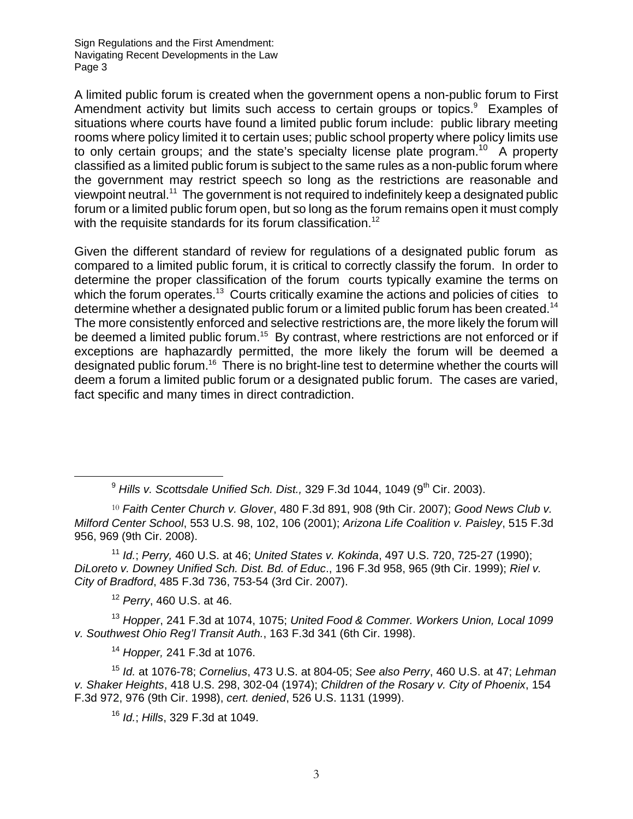A limited public forum is created when the government opens a non-public forum to First Amendment activity but limits such access to certain groups or topics.<sup>9</sup> Examples of situations where courts have found a limited public forum include: public library meeting rooms where policy limited it to certain uses; public school property where policy limits use to only certain groups; and the state's specialty license plate program.<sup>10</sup> A property classified as a limited public forum is subject to the same rules as a non-public forum where the government may restrict speech so long as the restrictions are reasonable and viewpoint neutral.11 The government is not required to indefinitely keep a designated public forum or a limited public forum open, but so long as the forum remains open it must comply with the requisite standards for its forum classification.<sup>12</sup>

Given the different standard of review for regulations of a designated public forum as compared to a limited public forum, it is critical to correctly classify the forum. In order to determine the proper classification of the forum courts typically examine the terms on which the forum operates.<sup>13</sup> Courts critically examine the actions and policies of cities to determine whether a designated public forum or a limited public forum has been created.<sup>14</sup> The more consistently enforced and selective restrictions are, the more likely the forum will be deemed a limited public forum.<sup>15</sup> By contrast, where restrictions are not enforced or if exceptions are haphazardly permitted, the more likely the forum will be deemed a designated public forum.<sup>16</sup> There is no bright-line test to determine whether the courts will deem a forum a limited public forum or a designated public forum. The cases are varied, fact specific and many times in direct contradiction.

<sup>11</sup> *Id.*; *Perry,* 460 U.S. at 46; *United States v. Kokinda*, 497 U.S. 720, 725-27 (1990); *DiLoreto v. Downey Unified Sch. Dist. Bd. of Educ*., 196 F.3d 958, 965 (9th Cir. 1999); *Riel v. City of Bradford*, 485 F.3d 736, 753-54 (3rd Cir. 2007).

<sup>12</sup> *Perry*, 460 U.S. at 46.

<sup>13</sup> *Hopper*, 241 F.3d at 1074, 1075; *United Food & Commer. Workers Union, Local 1099 v. Southwest Ohio Reg'l Transit Auth.*, 163 F.3d 341 (6th Cir. 1998).

<sup>14</sup> *Hopper,* 241 F.3d at 1076.

<sup>15</sup> *Id.* at 1076-78; *Cornelius*, 473 U.S. at 804-05; *See also Perry*, 460 U.S. at 47; *Lehman v. Shaker Heights*, 418 U.S. 298, 302-04 (1974); *Children of the Rosary v. City of Phoenix*, 154 F.3d 972, 976 (9th Cir. 1998), *cert. denied*, 526 U.S. 1131 (1999).

<sup>16</sup> *Id.*; *Hills*, 329 F.3d at 1049.

<sup>&</sup>lt;sup>9</sup> Hills v. Scottsdale Unified Sch. Dist., 329 F.3d 1044, 1049 (9<sup>th</sup> Cir. 2003).

<sup>10</sup> *Faith Center Church v. Glover*, 480 F.3d 891, 908 (9th Cir. 2007); *Good News Club v. Milford Center School*, 553 U.S. 98, 102, 106 (2001); *Arizona Life Coalition v. Paisley*, 515 F.3d 956, 969 (9th Cir. 2008).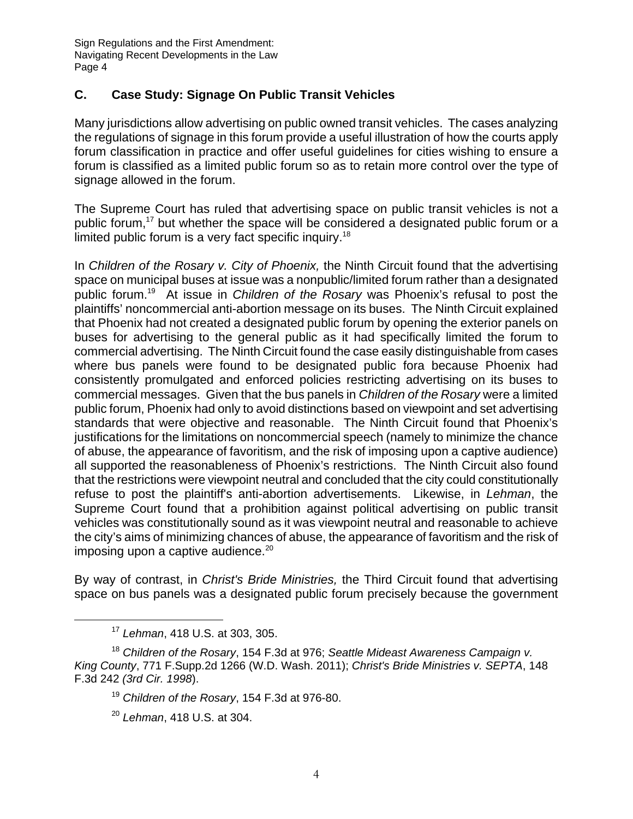#### **C. Case Study: Signage On Public Transit Vehicles**

Many jurisdictions allow advertising on public owned transit vehicles. The cases analyzing the regulations of signage in this forum provide a useful illustration of how the courts apply forum classification in practice and offer useful guidelines for cities wishing to ensure a forum is classified as a limited public forum so as to retain more control over the type of signage allowed in the forum.

The Supreme Court has ruled that advertising space on public transit vehicles is not a public forum,<sup>17</sup> but whether the space will be considered a designated public forum or a limited public forum is a very fact specific inquiry.<sup>18</sup>

In *Children of the Rosary v. City of Phoenix,* the Ninth Circuit found that the advertising space on municipal buses at issue was a nonpublic/limited forum rather than a designated public forum.19 At issue in *Children of the Rosary* was Phoenix's refusal to post the plaintiffs' noncommercial anti-abortion message on its buses. The Ninth Circuit explained that Phoenix had not created a designated public forum by opening the exterior panels on buses for advertising to the general public as it had specifically limited the forum to commercial advertising. The Ninth Circuit found the case easily distinguishable from cases where bus panels were found to be designated public fora because Phoenix had consistently promulgated and enforced policies restricting advertising on its buses to commercial messages. Given that the bus panels in *Children of the Rosary* were a limited public forum, Phoenix had only to avoid distinctions based on viewpoint and set advertising standards that were objective and reasonable. The Ninth Circuit found that Phoenix's justifications for the limitations on noncommercial speech (namely to minimize the chance of abuse, the appearance of favoritism, and the risk of imposing upon a captive audience) all supported the reasonableness of Phoenix's restrictions. The Ninth Circuit also found that the restrictions were viewpoint neutral and concluded that the city could constitutionally refuse to post the plaintiff's anti-abortion advertisements. Likewise, in *Lehman*, the Supreme Court found that a prohibition against political advertising on public transit vehicles was constitutionally sound as it was viewpoint neutral and reasonable to achieve the city's aims of minimizing chances of abuse, the appearance of favoritism and the risk of imposing upon a captive audience. $20<sup>20</sup>$ 

By way of contrast, in *Christ's Bride Ministries,* the Third Circuit found that advertising space on bus panels was a designated public forum precisely because the government

<sup>17</sup> *Lehman*, 418 U.S. at 303, 305.

<sup>18</sup> *Children of the Rosary*, 154 F.3d at 976; *Seattle Mideast Awareness Campaign v. King County*, 771 F.Supp.2d 1266 (W.D. Wash. 2011); *Christ's Bride Ministries v. SEPTA*, 148 F.3d 242 *(3rd Cir. 1998*).

<sup>19</sup> *Children of the Rosary*, 154 F.3d at 976-80.

<sup>20</sup> *Lehman*, 418 U.S. at 304.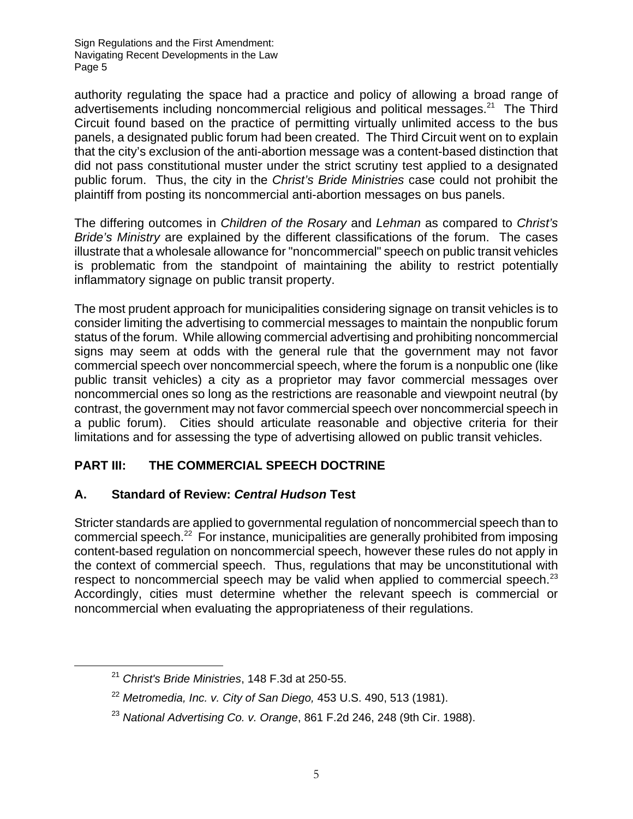authority regulating the space had a practice and policy of allowing a broad range of advertisements including noncommercial religious and political messages.<sup>21</sup> The Third Circuit found based on the practice of permitting virtually unlimited access to the bus panels, a designated public forum had been created. The Third Circuit went on to explain that the city's exclusion of the anti-abortion message was a content-based distinction that did not pass constitutional muster under the strict scrutiny test applied to a designated public forum. Thus, the city in the *Christ's Bride Ministries* case could not prohibit the plaintiff from posting its noncommercial anti-abortion messages on bus panels.

The differing outcomes in *Children of the Rosary* and *Lehman* as compared to *Christ's Bride's Ministry* are explained by the different classifications of the forum. The cases illustrate that a wholesale allowance for "noncommercial" speech on public transit vehicles is problematic from the standpoint of maintaining the ability to restrict potentially inflammatory signage on public transit property.

The most prudent approach for municipalities considering signage on transit vehicles is to consider limiting the advertising to commercial messages to maintain the nonpublic forum status of the forum. While allowing commercial advertising and prohibiting noncommercial signs may seem at odds with the general rule that the government may not favor commercial speech over noncommercial speech, where the forum is a nonpublic one (like public transit vehicles) a city as a proprietor may favor commercial messages over noncommercial ones so long as the restrictions are reasonable and viewpoint neutral (by contrast, the government may not favor commercial speech over noncommercial speech in a public forum). Cities should articulate reasonable and objective criteria for their limitations and for assessing the type of advertising allowed on public transit vehicles.

## **PART III: THE COMMERCIAL SPEECH DOCTRINE**

#### **A. Standard of Review:** *Central Hudson* **Test**

Stricter standards are applied to governmental regulation of noncommercial speech than to commercial speech.22 For instance, municipalities are generally prohibited from imposing content-based regulation on noncommercial speech, however these rules do not apply in the context of commercial speech. Thus, regulations that may be unconstitutional with respect to noncommercial speech may be valid when applied to commercial speech.<sup>23</sup> Accordingly, cities must determine whether the relevant speech is commercial or noncommercial when evaluating the appropriateness of their regulations.

<sup>21</sup> *Christ's Bride Ministries*, 148 F.3d at 250-55.

<sup>22</sup> *Metromedia, Inc. v. City of San Diego,* 453 U.S. 490, 513 (1981).

<sup>23</sup> *National Advertising Co. v. Orange*, 861 F.2d 246, 248 (9th Cir. 1988).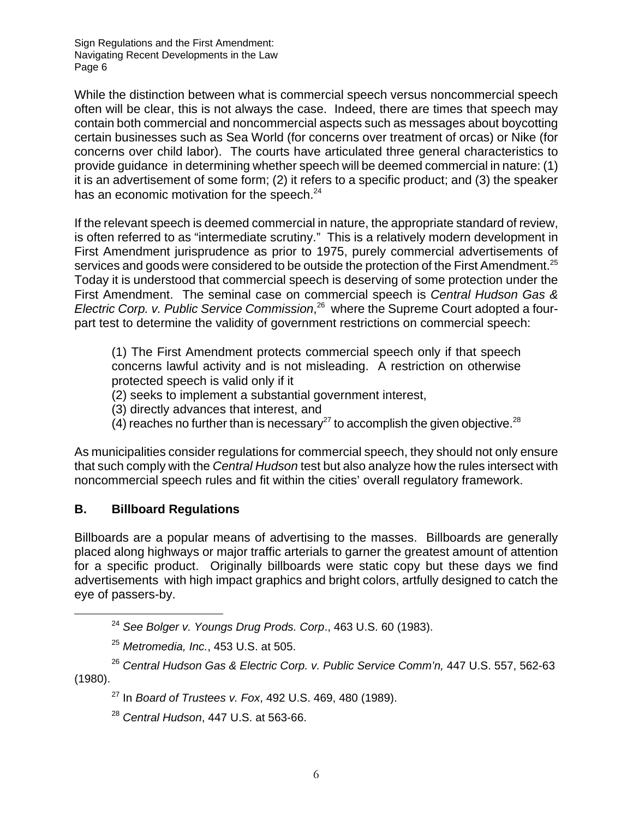While the distinction between what is commercial speech versus noncommercial speech often will be clear, this is not always the case. Indeed, there are times that speech may contain both commercial and noncommercial aspects such as messages about boycotting certain businesses such as Sea World (for concerns over treatment of orcas) or Nike (for concerns over child labor). The courts have articulated three general characteristics to provide guidance in determining whether speech will be deemed commercial in nature: (1) it is an advertisement of some form; (2) it refers to a specific product; and (3) the speaker has an economic motivation for the speech. $24$ 

If the relevant speech is deemed commercial in nature, the appropriate standard of review, is often referred to as "intermediate scrutiny." This is a relatively modern development in First Amendment jurisprudence as prior to 1975, purely commercial advertisements of services and goods were considered to be outside the protection of the First Amendment.<sup>25</sup> Today it is understood that commercial speech is deserving of some protection under the First Amendment. The seminal case on commercial speech is *Central Hudson Gas &*  Electric Corp. v. Public Service Commission,<sup>26</sup> where the Supreme Court adopted a fourpart test to determine the validity of government restrictions on commercial speech:

(1) The First Amendment protects commercial speech only if that speech concerns lawful activity and is not misleading. A restriction on otherwise protected speech is valid only if it

(2) seeks to implement a substantial government interest,

(3) directly advances that interest, and

 $(4)$  reaches no further than is necessary<sup>27</sup> to accomplish the given objective.<sup>28</sup>

As municipalities consider regulations for commercial speech, they should not only ensure that such comply with the *Central Hudson* test but also analyze how the rules intersect with noncommercial speech rules and fit within the cities' overall regulatory framework.

#### **B. Billboard Regulations**

Billboards are a popular means of advertising to the masses. Billboards are generally placed along highways or major traffic arterials to garner the greatest amount of attention for a specific product. Originally billboards were static copy but these days we find advertisements with high impact graphics and bright colors, artfully designed to catch the eye of passers-by.

<sup>24</sup> *See Bolger v. Youngs Drug Prods. Corp*., 463 U.S. 60 (1983).

<sup>25</sup> *Metromedia, Inc.*, 453 U.S. at 505.

<sup>26</sup> *Central Hudson Gas & Electric Corp. v. Public Service Comm'n,* 447 U.S. 557, 562-63 (1980).

27 In *Board of Trustees v. Fox*, 492 U.S. 469, 480 (1989).

<sup>28</sup> *Central Hudson*, 447 U.S. at 563-66.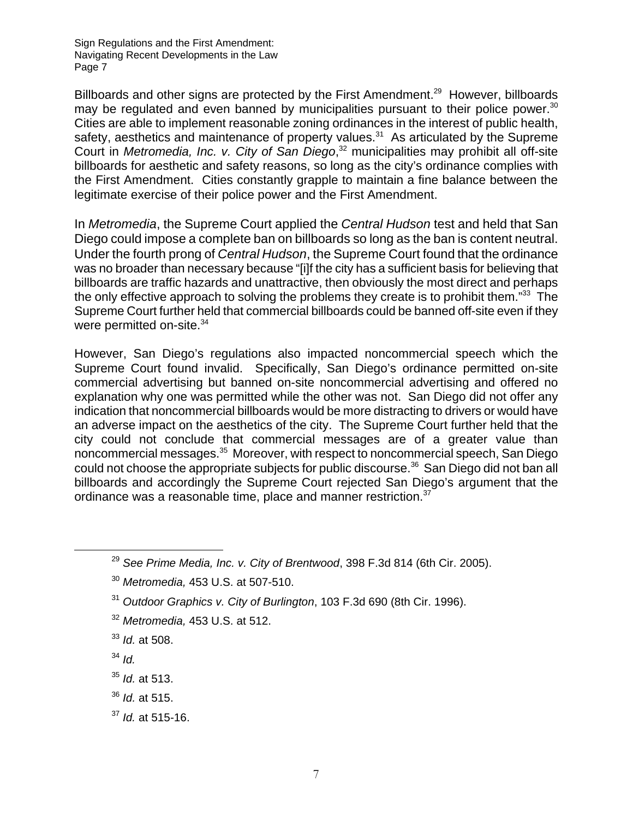Billboards and other signs are protected by the First Amendment.<sup>29</sup> However, billboards may be regulated and even banned by municipalities pursuant to their police power.<sup>30</sup> Cities are able to implement reasonable zoning ordinances in the interest of public health, safety, aesthetics and maintenance of property values.<sup>31</sup> As articulated by the Supreme Court in *Metromedia, Inc. v. City of San Diego*, 32 municipalities may prohibit all off-site billboards for aesthetic and safety reasons, so long as the city's ordinance complies with the First Amendment. Cities constantly grapple to maintain a fine balance between the legitimate exercise of their police power and the First Amendment.

In *Metromedia*, the Supreme Court applied the *Central Hudson* test and held that San Diego could impose a complete ban on billboards so long as the ban is content neutral. Under the fourth prong of *Central Hudson*, the Supreme Court found that the ordinance was no broader than necessary because "[i]f the city has a sufficient basis for believing that billboards are traffic hazards and unattractive, then obviously the most direct and perhaps the only effective approach to solving the problems they create is to prohibit them.<sup>"33</sup> The Supreme Court further held that commercial billboards could be banned off-site even if they were permitted on-site.<sup>34</sup>

However, San Diego's regulations also impacted noncommercial speech which the Supreme Court found invalid. Specifically, San Diego's ordinance permitted on-site commercial advertising but banned on-site noncommercial advertising and offered no explanation why one was permitted while the other was not. San Diego did not offer any indication that noncommercial billboards would be more distracting to drivers or would have an adverse impact on the aesthetics of the city. The Supreme Court further held that the city could not conclude that commercial messages are of a greater value than noncommercial messages.35 Moreover, with respect to noncommercial speech, San Diego could not choose the appropriate subjects for public discourse.<sup>36</sup> San Diego did not ban all billboards and accordingly the Supreme Court rejected San Diego's argument that the ordinance was a reasonable time, place and manner restriction.<sup>37</sup>

- <sup>32</sup> *Metromedia,* 453 U.S. at 512.
- <sup>33</sup> *Id.* at 508.
- $34$  *Id.*
- <sup>35</sup> *Id.* at 513.
- <sup>36</sup> *Id.* at 515.
- <sup>37</sup> *Id.* at 515-16.

<sup>29</sup> *See Prime Media, Inc. v. City of Brentwood*, 398 F.3d 814 (6th Cir. 2005).

<sup>30</sup> *Metromedia,* 453 U.S. at 507-510.

<sup>31</sup> *Outdoor Graphics v. City of Burlington*, 103 F.3d 690 (8th Cir. 1996).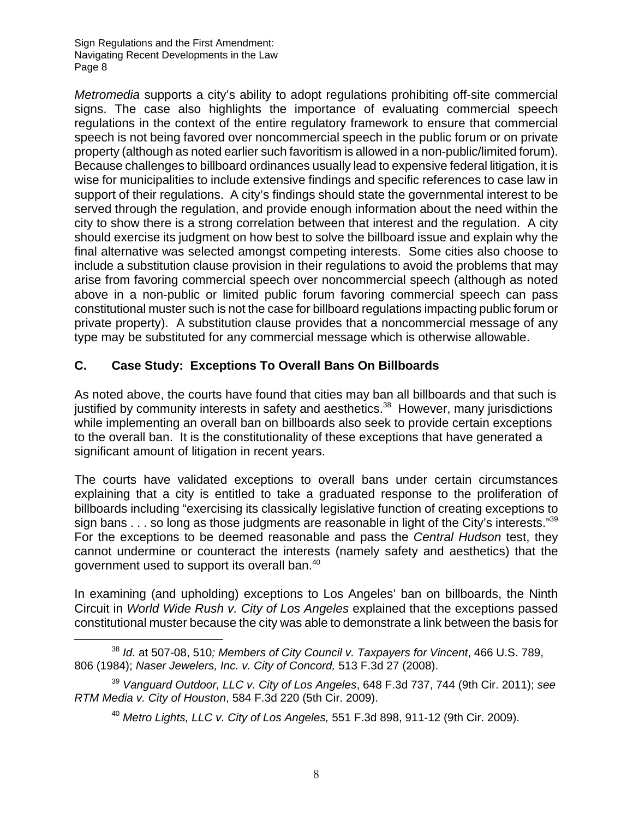*Metromedia* supports a city's ability to adopt regulations prohibiting off-site commercial signs. The case also highlights the importance of evaluating commercial speech regulations in the context of the entire regulatory framework to ensure that commercial speech is not being favored over noncommercial speech in the public forum or on private property (although as noted earlier such favoritism is allowed in a non-public/limited forum). Because challenges to billboard ordinances usually lead to expensive federal litigation, it is wise for municipalities to include extensive findings and specific references to case law in support of their regulations. A city's findings should state the governmental interest to be served through the regulation, and provide enough information about the need within the city to show there is a strong correlation between that interest and the regulation. A city should exercise its judgment on how best to solve the billboard issue and explain why the final alternative was selected amongst competing interests. Some cities also choose to include a substitution clause provision in their regulations to avoid the problems that may arise from favoring commercial speech over noncommercial speech (although as noted above in a non-public or limited public forum favoring commercial speech can pass constitutional muster such is not the case for billboard regulations impacting public forum or private property). A substitution clause provides that a noncommercial message of any type may be substituted for any commercial message which is otherwise allowable.

#### **C. Case Study: Exceptions To Overall Bans On Billboards**

As noted above, the courts have found that cities may ban all billboards and that such is justified by community interests in safety and aesthetics.<sup>38</sup> However, many jurisdictions while implementing an overall ban on billboards also seek to provide certain exceptions to the overall ban. It is the constitutionality of these exceptions that have generated a significant amount of litigation in recent years.

The courts have validated exceptions to overall bans under certain circumstances explaining that a city is entitled to take a graduated response to the proliferation of billboards including "exercising its classically legislative function of creating exceptions to sign bans  $\dots$  so long as those judgments are reasonable in light of the City's interests."<sup>39</sup> For the exceptions to be deemed reasonable and pass the *Central Hudson* test, they cannot undermine or counteract the interests (namely safety and aesthetics) that the government used to support its overall ban.40

In examining (and upholding) exceptions to Los Angeles' ban on billboards, the Ninth Circuit in *World Wide Rush v. City of Los Angeles* explained that the exceptions passed constitutional muster because the city was able to demonstrate a link between the basis for

<sup>38</sup> *Id.* at 507-08, 510*; Members of City Council v. Taxpayers for Vincent*, 466 U.S. 789, 806 (1984); *Naser Jewelers, Inc. v. City of Concord,* 513 F.3d 27 (2008).

<sup>39</sup> *Vanguard Outdoor, LLC v. City of Los Angeles*, 648 F.3d 737, 744 (9th Cir. 2011); *see RTM Media v. City of Houston*, 584 F.3d 220 (5th Cir. 2009).

<sup>40</sup> *Metro Lights, LLC v. City of Los Angeles,* 551 F.3d 898, 911-12 (9th Cir. 2009).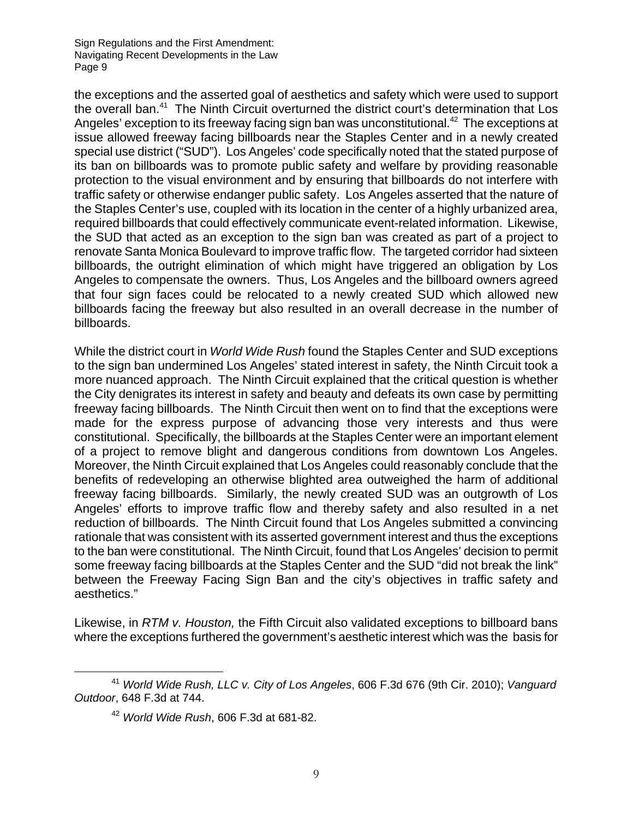the exceptions and the asserted goal of aesthetics and safety which were used to support the overall ban.<sup>41</sup> The Ninth Circuit overturned the district court's determination that Los Angeles' exception to its freeway facing sign ban was unconstitutional.<sup>42</sup> The exceptions at issue allowed freeway facing billboards near the Staples Center and in a newly created special use district ("SUD"). Los Angeles' code specifically noted that the stated purpose of its ban on billboards was to promote public safety and welfare by providing reasonable protection to the visual environment and by ensuring that billboards do not interfere with traffic safety or otherwise endanger public safety. Los Angeles asserted that the nature of the Staples Center's use, coupled with its location in the center of a highly urbanized area, required billboards that could effectively communicate event-related information. Likewise, the SUD that acted as an exception to the sign ban was created as part of a project to renovate Santa Monica Boulevard to improve traffic flow. The targeted corridor had sixteen billboards, the outright elimination of which might have triggered an obligation by Los Angeles to compensate the owners. Thus, Los Angeles and the billboard owners agreed that four sign faces could be relocated to a newly created SUD which allowed new billboards facing the freeway but also resulted in an overall decrease in the number of billboards.

While the district court in *World Wide Rush* found the Staples Center and SUD exceptions to the sign ban undermined Los Angeles' stated interest in safety, the Ninth Circuit took a more nuanced approach. The Ninth Circuit explained that the critical question is whether the City denigrates its interest in safety and beauty and defeats its own case by permitting freeway facing billboards. The Ninth Circuit then went on to find that the exceptions were made for the express purpose of advancing those very interests and thus were constitutional. Specifically, the billboards at the Staples Center were an important element of a project to remove blight and dangerous conditions from downtown Los Angeles. Moreover, the Ninth Circuit explained that Los Angeles could reasonably conclude that the benefits of redeveloping an otherwise blighted area outweighed the harm of additional freeway facing billboards. Similarly, the newly created SUD was an outgrowth of Los Angeles' efforts to improve traffic flow and thereby safety and also resulted in a net reduction of billboards. The Ninth Circuit found that Los Angeles submitted a convincing rationale that was consistent with its asserted government interest and thus the exceptions to the ban were constitutional. The Ninth Circuit, found that Los Angeles' decision to permit some freeway facing billboards at the Staples Center and the SUD "did not break the link" between the Freeway Facing Sign Ban and the city's objectives in traffic safety and aesthetics."

Likewise, in *RTM v. Houston,* the Fifth Circuit also validated exceptions to billboard bans where the exceptions furthered the government's aesthetic interest which was the basis for

<sup>41</sup> *World Wide Rush, LLC v. City of Los Angeles*, 606 F.3d 676 (9th Cir. 2010); *Vanguard Outdoor*, 648 F.3d at 744.

<sup>42</sup> *World Wide Rush*, 606 F.3d at 681-82.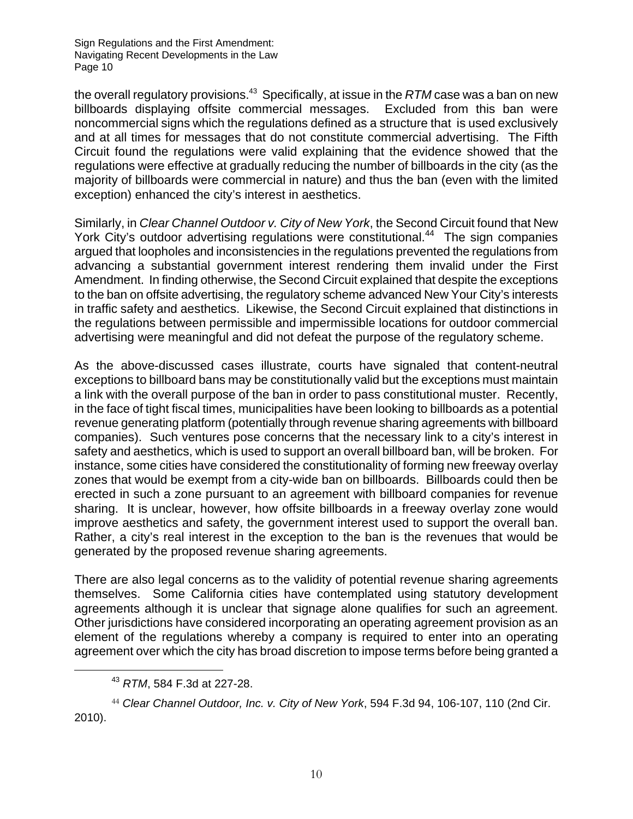the overall regulatory provisions.<sup>43</sup> Specifically, at issue in the *RTM* case was a ban on new billboards displaying offsite commercial messages. Excluded from this ban were noncommercial signs which the regulations defined as a structure that is used exclusively and at all times for messages that do not constitute commercial advertising. The Fifth Circuit found the regulations were valid explaining that the evidence showed that the regulations were effective at gradually reducing the number of billboards in the city (as the majority of billboards were commercial in nature) and thus the ban (even with the limited exception) enhanced the city's interest in aesthetics.

Similarly, in *Clear Channel Outdoor v. City of New York*, the Second Circuit found that New York City's outdoor advertising regulations were constitutional.<sup>44</sup> The sign companies argued that loopholes and inconsistencies in the regulations prevented the regulations from advancing a substantial government interest rendering them invalid under the First Amendment. In finding otherwise, the Second Circuit explained that despite the exceptions to the ban on offsite advertising, the regulatory scheme advanced New Your City's interests in traffic safety and aesthetics. Likewise, the Second Circuit explained that distinctions in the regulations between permissible and impermissible locations for outdoor commercial advertising were meaningful and did not defeat the purpose of the regulatory scheme.

As the above-discussed cases illustrate, courts have signaled that content-neutral exceptions to billboard bans may be constitutionally valid but the exceptions must maintain a link with the overall purpose of the ban in order to pass constitutional muster. Recently, in the face of tight fiscal times, municipalities have been looking to billboards as a potential revenue generating platform (potentially through revenue sharing agreements with billboard companies). Such ventures pose concerns that the necessary link to a city's interest in safety and aesthetics, which is used to support an overall billboard ban, will be broken. For instance, some cities have considered the constitutionality of forming new freeway overlay zones that would be exempt from a city-wide ban on billboards. Billboards could then be erected in such a zone pursuant to an agreement with billboard companies for revenue sharing. It is unclear, however, how offsite billboards in a freeway overlay zone would improve aesthetics and safety, the government interest used to support the overall ban. Rather, a city's real interest in the exception to the ban is the revenues that would be generated by the proposed revenue sharing agreements.

There are also legal concerns as to the validity of potential revenue sharing agreements themselves. Some California cities have contemplated using statutory development agreements although it is unclear that signage alone qualifies for such an agreement. Other jurisdictions have considered incorporating an operating agreement provision as an element of the regulations whereby a company is required to enter into an operating agreement over which the city has broad discretion to impose terms before being granted a

<sup>43</sup> *RTM*, 584 F.3d at 227-28.

<sup>44</sup> *Clear Channel Outdoor, Inc. v. City of New York*, 594 F.3d 94, 106-107, 110 (2nd Cir. 2010).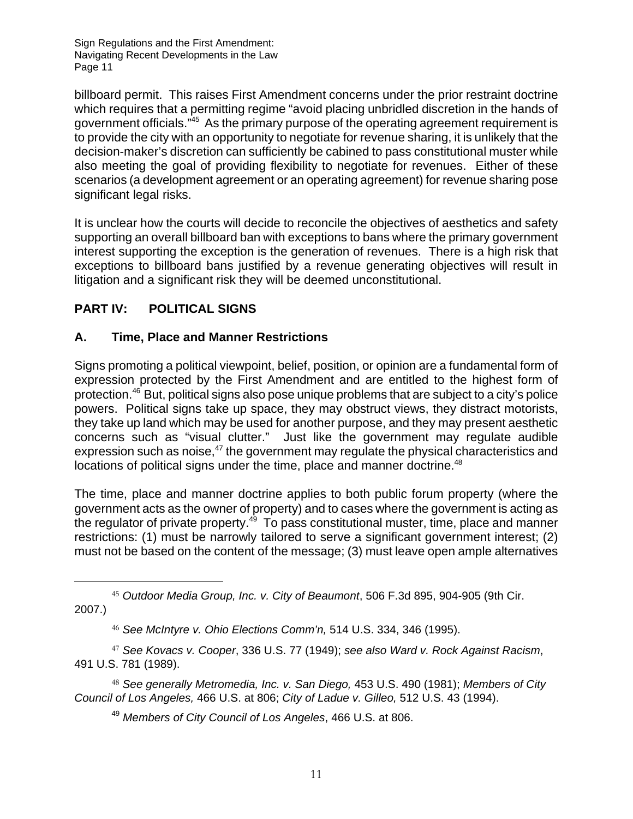billboard permit. This raises First Amendment concerns under the prior restraint doctrine which requires that a permitting regime "avoid placing unbridled discretion in the hands of government officials."45 As the primary purpose of the operating agreement requirement is to provide the city with an opportunity to negotiate for revenue sharing, it is unlikely that the decision-maker's discretion can sufficiently be cabined to pass constitutional muster while also meeting the goal of providing flexibility to negotiate for revenues. Either of these scenarios (a development agreement or an operating agreement) for revenue sharing pose significant legal risks.

It is unclear how the courts will decide to reconcile the objectives of aesthetics and safety supporting an overall billboard ban with exceptions to bans where the primary government interest supporting the exception is the generation of revenues. There is a high risk that exceptions to billboard bans justified by a revenue generating objectives will result in litigation and a significant risk they will be deemed unconstitutional.

## **PART IV: POLITICAL SIGNS**

### **A. Time, Place and Manner Restrictions**

Signs promoting a political viewpoint, belief, position, or opinion are a fundamental form of expression protected by the First Amendment and are entitled to the highest form of protection.46 But, political signs also pose unique problems that are subject to a city's police powers. Political signs take up space, they may obstruct views, they distract motorists, they take up land which may be used for another purpose, and they may present aesthetic concerns such as "visual clutter." Just like the government may regulate audible expression such as noise, $47$  the government may regulate the physical characteristics and locations of political signs under the time, place and manner doctrine.<sup>48</sup>

The time, place and manner doctrine applies to both public forum property (where the government acts as the owner of property) and to cases where the government is acting as the regulator of private property. $49$  To pass constitutional muster, time, place and manner restrictions: (1) must be narrowly tailored to serve a significant government interest; (2) must not be based on the content of the message; (3) must leave open ample alternatives

47 *See Kovacs v. Cooper*, 336 U.S. 77 (1949); *see also Ward v. Rock Against Racism*, 491 U.S. 781 (1989).

48 *See generally Metromedia, Inc. v. San Diego,* 453 U.S. 490 (1981); *Members of City Council of Los Angeles,* 466 U.S. at 806; *City of Ladue v. Gilleo,* 512 U.S. 43 (1994).

<sup>49</sup> *Members of City Council of Los Angeles*, 466 U.S. at 806.

 <sup>45</sup> *Outdoor Media Group, Inc. v. City of Beaumont*, 506 F.3d 895, 904-905 (9th Cir. 2007.)

<sup>46</sup> *See McIntyre v. Ohio Elections Comm'n,* 514 U.S. 334, 346 (1995).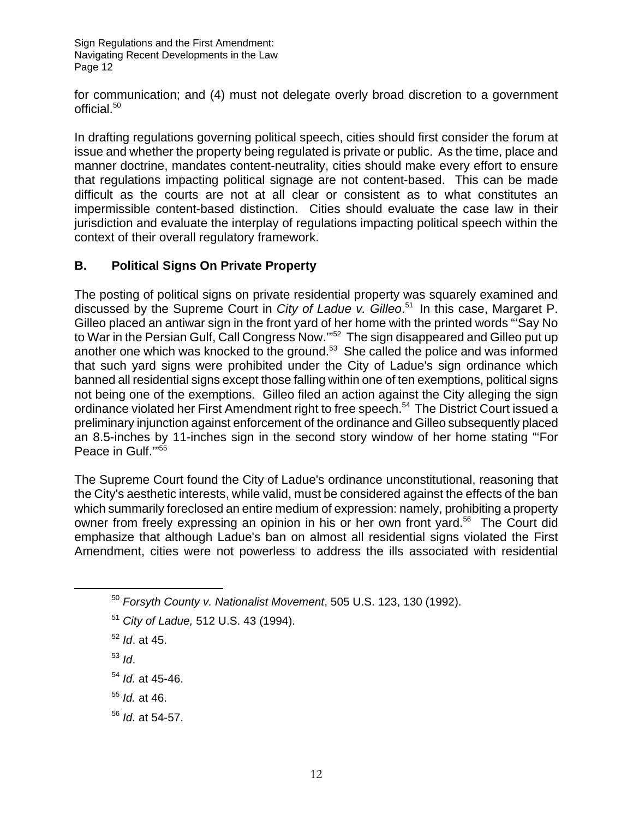for communication; and (4) must not delegate overly broad discretion to a government official.<sup>50</sup>

In drafting regulations governing political speech, cities should first consider the forum at issue and whether the property being regulated is private or public. As the time, place and manner doctrine, mandates content-neutrality, cities should make every effort to ensure that regulations impacting political signage are not content-based. This can be made difficult as the courts are not at all clear or consistent as to what constitutes an impermissible content-based distinction. Cities should evaluate the case law in their jurisdiction and evaluate the interplay of regulations impacting political speech within the context of their overall regulatory framework.

#### **B. Political Signs On Private Property**

The posting of political signs on private residential property was squarely examined and discussed by the Supreme Court in *City of Ladue v. Gilleo*. 51 In this case, Margaret P. Gilleo placed an antiwar sign in the front yard of her home with the printed words "'Say No to War in the Persian Gulf, Call Congress Now."<sup>52</sup> The sign disappeared and Gilleo put up another one which was knocked to the ground.<sup>53</sup> She called the police and was informed that such yard signs were prohibited under the City of Ladue's sign ordinance which banned all residential signs except those falling within one of ten exemptions, political signs not being one of the exemptions. Gilleo filed an action against the City alleging the sign ordinance violated her First Amendment right to free speech.<sup>54</sup> The District Court issued a preliminary injunction against enforcement of the ordinance and Gilleo subsequently placed an 8.5-inches by 11-inches sign in the second story window of her home stating "'For Peace in Gulf."<sup>55</sup>

The Supreme Court found the City of Ladue's ordinance unconstitutional, reasoning that the City's aesthetic interests, while valid, must be considered against the effects of the ban which summarily foreclosed an entire medium of expression: namely, prohibiting a property owner from freely expressing an opinion in his or her own front yard.<sup>56</sup> The Court did emphasize that although Ladue's ban on almost all residential signs violated the First Amendment, cities were not powerless to address the ills associated with residential

- <sup>52</sup> *Id*. at 45.
- <sup>53</sup> *Id*.
- <sup>54</sup> *Id.* at 45-46.
- <sup>55</sup> *Id.* at 46.
- <sup>56</sup> *Id.* at 54-57.

<sup>50</sup> *Forsyth County v. Nationalist Movement*, 505 U.S. 123, 130 (1992).

<sup>51</sup> *City of Ladue,* 512 U.S. 43 (1994).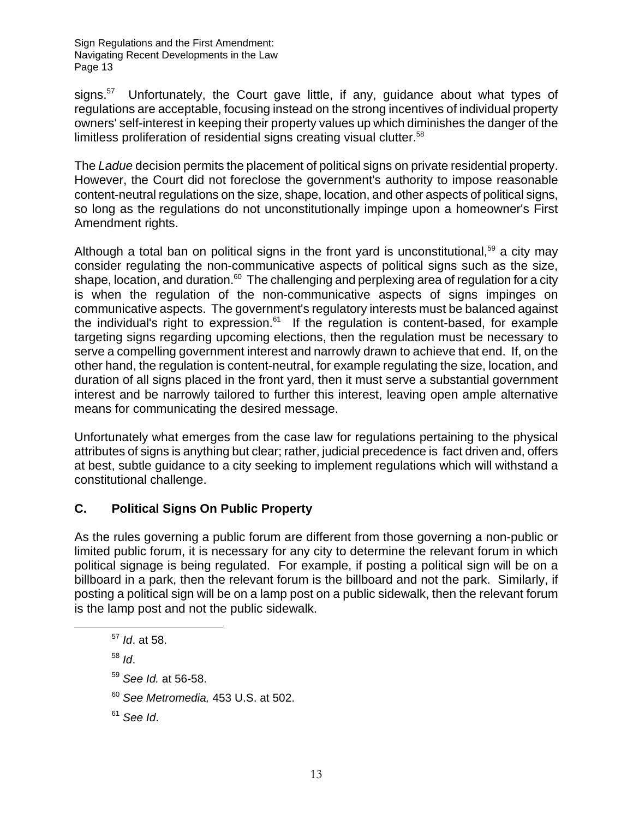signs.<sup>57</sup> Unfortunately, the Court gave little, if any, guidance about what types of regulations are acceptable, focusing instead on the strong incentives of individual property owners' self-interest in keeping their property values up which diminishes the danger of the limitless proliferation of residential signs creating visual clutter.<sup>58</sup>

The *Ladue* decision permits the placement of political signs on private residential property. However, the Court did not foreclose the government's authority to impose reasonable content-neutral regulations on the size, shape, location, and other aspects of political signs, so long as the regulations do not unconstitutionally impinge upon a homeowner's First Amendment rights.

Although a total ban on political signs in the front yard is unconstitutional,<sup>59</sup> a city may consider regulating the non-communicative aspects of political signs such as the size, shape, location, and duration. $60$  The challenging and perplexing area of regulation for a city is when the regulation of the non-communicative aspects of signs impinges on communicative aspects. The government's regulatory interests must be balanced against the individual's right to expression. $61$  If the regulation is content-based, for example targeting signs regarding upcoming elections, then the regulation must be necessary to serve a compelling government interest and narrowly drawn to achieve that end. If, on the other hand, the regulation is content-neutral, for example regulating the size, location, and duration of all signs placed in the front yard, then it must serve a substantial government interest and be narrowly tailored to further this interest, leaving open ample alternative means for communicating the desired message.

Unfortunately what emerges from the case law for regulations pertaining to the physical attributes of signs is anything but clear; rather, judicial precedence is fact driven and, offers at best, subtle guidance to a city seeking to implement regulations which will withstand a constitutional challenge.

#### **C. Political Signs On Public Property**

As the rules governing a public forum are different from those governing a non-public or limited public forum, it is necessary for any city to determine the relevant forum in which political signage is being regulated. For example, if posting a political sign will be on a billboard in a park, then the relevant forum is the billboard and not the park. Similarly, if posting a political sign will be on a lamp post on a public sidewalk, then the relevant forum is the lamp post and not the public sidewalk.

- <sup>58</sup> *Id*.
- <sup>59</sup> *See Id.* at 56-58.
- <sup>60</sup> *See Metromedia,* 453 U.S. at 502.

<sup>61</sup> *See Id*.

<sup>57</sup> *Id*. at 58.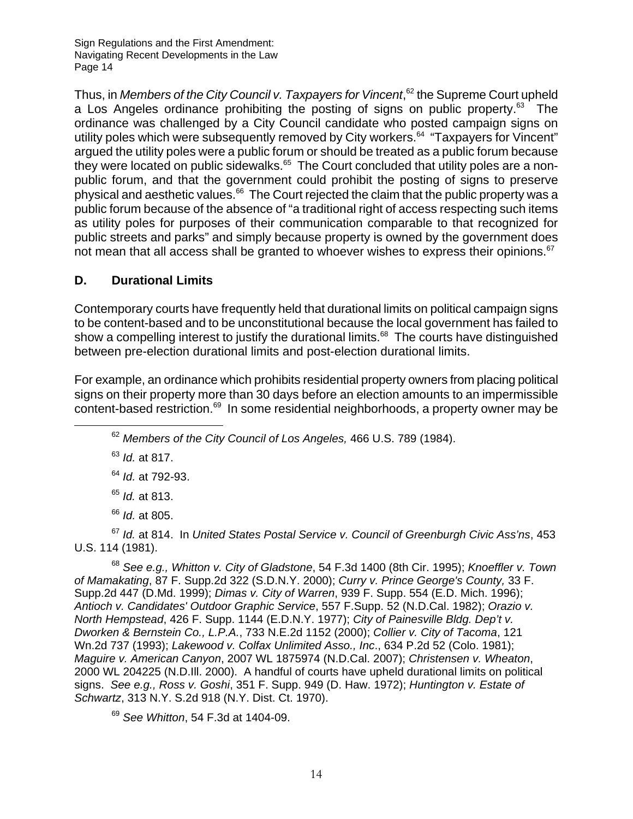Thus, in *Members of the City Council v. Taxpayers for Vincent*,<sup>62</sup> the Supreme Court upheld a Los Angeles ordinance prohibiting the posting of signs on public property.<sup>63</sup> The ordinance was challenged by a City Council candidate who posted campaign signs on utility poles which were subsequently removed by City workers.<sup>64</sup> "Taxpayers for Vincent" argued the utility poles were a public forum or should be treated as a public forum because they were located on public sidewalks.<sup>65</sup> The Court concluded that utility poles are a nonpublic forum, and that the government could prohibit the posting of signs to preserve physical and aesthetic values.<sup>66</sup> The Court rejected the claim that the public property was a public forum because of the absence of "a traditional right of access respecting such items as utility poles for purposes of their communication comparable to that recognized for public streets and parks" and simply because property is owned by the government does not mean that all access shall be granted to whoever wishes to express their opinions.<sup>67</sup>

#### **D. Durational Limits**

Contemporary courts have frequently held that durational limits on political campaign signs to be content-based and to be unconstitutional because the local government has failed to show a compelling interest to justify the durational limits.<sup>68</sup> The courts have distinguished between pre-election durational limits and post-election durational limits.

For example, an ordinance which prohibits residential property owners from placing political signs on their property more than 30 days before an election amounts to an impermissible content-based restriction.<sup>69</sup> In some residential neighborhoods, a property owner may be

<sup>62</sup> *Members of the City Council of Los Angeles,* 466 U.S. 789 (1984).

<sup>63</sup> *Id.* at 817.

- <sup>64</sup> *Id.* at 792-93.
- <sup>65</sup> *Id.* at 813.
- <sup>66</sup> *Id.* at 805.

<sup>67</sup> *Id.* at 814. In *United States Postal Service v. Council of Greenburgh Civic Ass'ns*, 453 U.S. 114 (1981).

<sup>68</sup> *See e.g., Whitton v. City of Gladstone*, 54 F.3d 1400 (8th Cir. 1995); *Knoeffler v. Town of Mamakating*, 87 F. Supp.2d 322 (S.D.N.Y. 2000); *Curry v. Prince George's County,* 33 F. Supp.2d 447 (D.Md. 1999); *Dimas v. City of Warren*, 939 F. Supp. 554 (E.D. Mich. 1996); *Antioch v. Candidates' Outdoor Graphic Service*, 557 F.Supp. 52 (N.D.Cal. 1982); *Orazio v. North Hempstead*, 426 F. Supp. 1144 (E.D.N.Y. 1977); *City of Painesville Bldg. Dep't v. Dworken & Bernstein Co., L.P.A.*, 733 N.E.2d 1152 (2000); *Collier v. City of Tacoma*, 121 Wn.2d 737 (1993); *Lakewood v. Colfax Unlimited Asso., Inc*., 634 P.2d 52 (Colo. 1981); *Maguire v. American Canyon*, 2007 WL 1875974 (N.D.Cal. 2007); *Christensen v. Wheaton*, 2000 WL 204225 (N.D.Ill. 2000). A handful of courts have upheld durational limits on political signs. *See e.g., Ross v. Goshi*, 351 F. Supp. 949 (D. Haw. 1972); *Huntington v. Estate of Schwartz*, 313 N.Y. S.2d 918 (N.Y. Dist. Ct. 1970).

<sup>69</sup> *See Whitton*, 54 F.3d at 1404-09.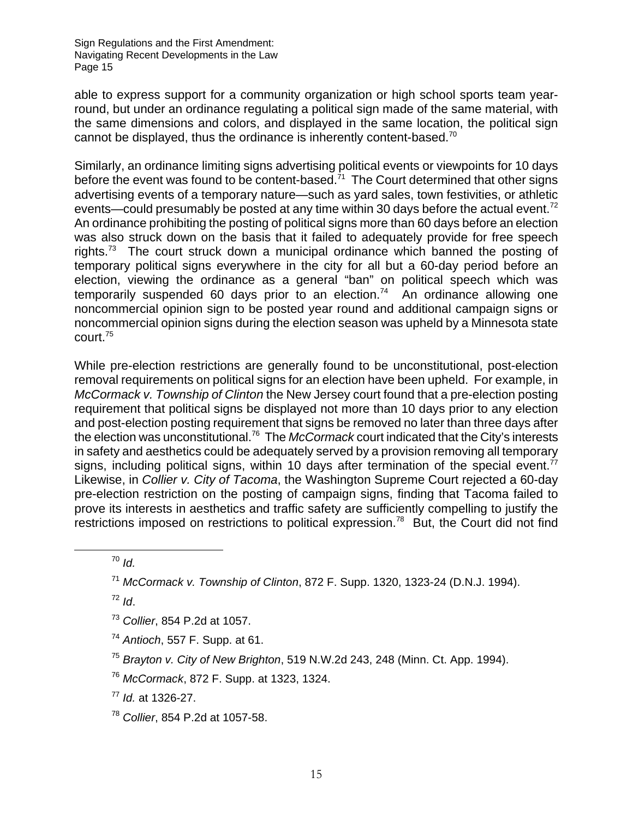able to express support for a community organization or high school sports team yearround, but under an ordinance regulating a political sign made of the same material, with the same dimensions and colors, and displayed in the same location, the political sign cannot be displayed, thus the ordinance is inherently content-based.<sup>70</sup>

Similarly, an ordinance limiting signs advertising political events or viewpoints for 10 days before the event was found to be content-based. $71$  The Court determined that other signs advertising events of a temporary nature—such as yard sales, town festivities, or athletic events—could presumably be posted at any time within 30 days before the actual event.<sup>72</sup> An ordinance prohibiting the posting of political signs more than 60 days before an election was also struck down on the basis that it failed to adequately provide for free speech rights.<sup>73</sup> The court struck down a municipal ordinance which banned the posting of temporary political signs everywhere in the city for all but a 60-day period before an election, viewing the ordinance as a general "ban" on political speech which was temporarily suspended 60 days prior to an election.<sup>74</sup> An ordinance allowing one noncommercial opinion sign to be posted year round and additional campaign signs or noncommercial opinion signs during the election season was upheld by a Minnesota state court.75

While pre-election restrictions are generally found to be unconstitutional, post-election removal requirements on political signs for an election have been upheld. For example, in *McCormack v. Township of Clinton* the New Jersey court found that a pre-election posting requirement that political signs be displayed not more than 10 days prior to any election and post-election posting requirement that signs be removed no later than three days after the election was unconstitutional.76 The *McCormack* court indicated that the City's interests in safety and aesthetics could be adequately served by a provision removing all temporary signs, including political signs, within 10 days after termination of the special event.<sup>77</sup> Likewise, in *Collier v. City of Tacoma*, the Washington Supreme Court rejected a 60-day pre-election restriction on the posting of campaign signs, finding that Tacoma failed to prove its interests in aesthetics and traffic safety are sufficiently compelling to justify the restrictions imposed on restrictions to political expression.<sup>78</sup> But, the Court did not find

<sup>70</sup> *Id.*

<sup>72</sup> *Id*.

- <sup>73</sup> *Collier*, 854 P.2d at 1057.
- <sup>74</sup> *Antioch*, 557 F. Supp. at 61.
- <sup>75</sup> *Brayton v. City of New Brighton*, 519 N.W.2d 243, 248 (Minn. Ct. App. 1994).
- <sup>76</sup> *McCormack*, 872 F. Supp. at 1323, 1324.

<sup>77</sup> *Id.* at 1326-27.

<sup>78</sup> *Collier*, 854 P.2d at 1057-58.

<sup>71</sup> *McCormack v. Township of Clinton*, 872 F. Supp. 1320, 1323-24 (D.N.J. 1994).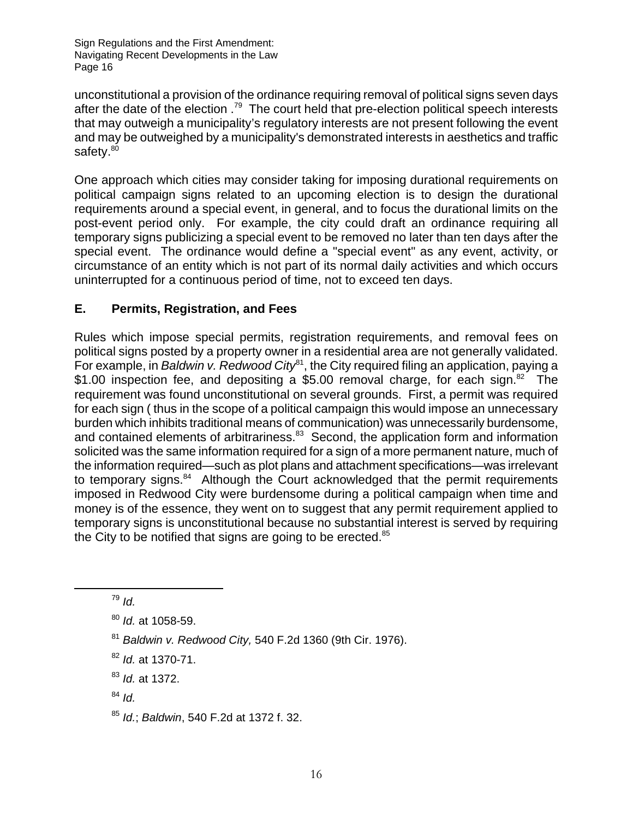unconstitutional a provision of the ordinance requiring removal of political signs seven days after the date of the election .<sup>79</sup> The court held that pre-election political speech interests that may outweigh a municipality's regulatory interests are not present following the event and may be outweighed by a municipality's demonstrated interests in aesthetics and traffic safety.<sup>80</sup>

One approach which cities may consider taking for imposing durational requirements on political campaign signs related to an upcoming election is to design the durational requirements around a special event, in general, and to focus the durational limits on the post-event period only. For example, the city could draft an ordinance requiring all temporary signs publicizing a special event to be removed no later than ten days after the special event. The ordinance would define a "special event" as any event, activity, or circumstance of an entity which is not part of its normal daily activities and which occurs uninterrupted for a continuous period of time, not to exceed ten days.

#### **E. Permits, Registration, and Fees**

Rules which impose special permits, registration requirements, and removal fees on political signs posted by a property owner in a residential area are not generally validated. For example, in *Baldwin v. Redwood City*<sup>81</sup>, the City required filing an application, paying a \$1.00 inspection fee, and depositing a \$5.00 removal charge, for each sign.<sup>82</sup> The requirement was found unconstitutional on several grounds. First, a permit was required for each sign ( thus in the scope of a political campaign this would impose an unnecessary burden which inhibits traditional means of communication) was unnecessarily burdensome, and contained elements of arbitrariness.<sup>83</sup> Second, the application form and information solicited was the same information required for a sign of a more permanent nature, much of the information required—such as plot plans and attachment specifications—was irrelevant to temporary signs. $84$  Although the Court acknowledged that the permit requirements imposed in Redwood City were burdensome during a political campaign when time and money is of the essence, they went on to suggest that any permit requirement applied to temporary signs is unconstitutional because no substantial interest is served by requiring the City to be notified that signs are going to be erected.<sup>85</sup>

- <sup>81</sup> *Baldwin v. Redwood City,* 540 F.2d 1360 (9th Cir. 1976).
- <sup>82</sup> *Id.* at 1370-71.
- <sup>83</sup> *Id.* at 1372.
- <sup>84</sup> *Id.*

<sup>79</sup> *Id.*

<sup>80</sup> *Id.* at 1058-59.

<sup>85</sup> *Id.*; *Baldwin*, 540 F.2d at 1372 f. 32.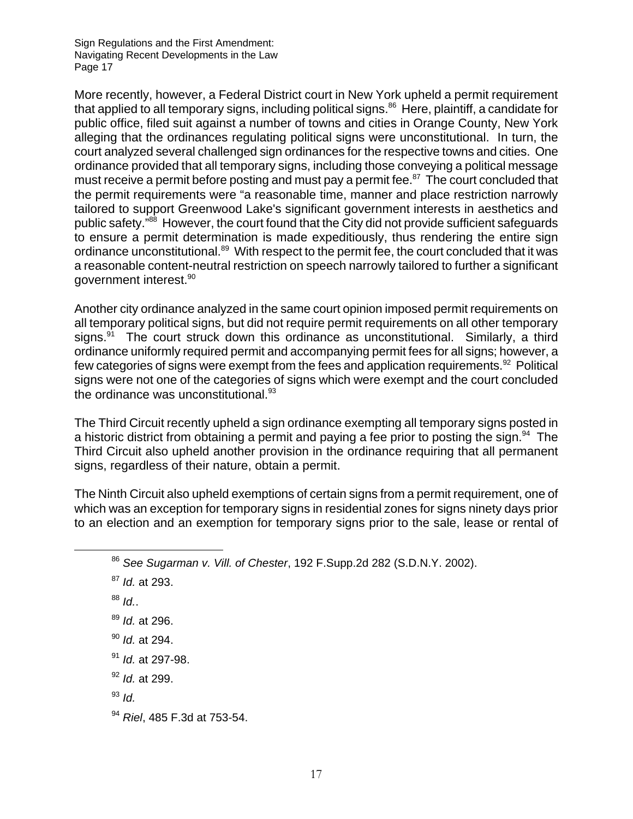More recently, however, a Federal District court in New York upheld a permit requirement that applied to all temporary signs, including political signs.<sup>86</sup> Here, plaintiff, a candidate for public office, filed suit against a number of towns and cities in Orange County, New York alleging that the ordinances regulating political signs were unconstitutional. In turn, the court analyzed several challenged sign ordinances for the respective towns and cities. One ordinance provided that all temporary signs, including those conveying a political message must receive a permit before posting and must pay a permit fee.<sup>87</sup> The court concluded that the permit requirements were "a reasonable time, manner and place restriction narrowly tailored to support Greenwood Lake's significant government interests in aesthetics and public safety.<sup>"88</sup> However, the court found that the City did not provide sufficient safeguards to ensure a permit determination is made expeditiously, thus rendering the entire sign ordinance unconstitutional.<sup>89</sup> With respect to the permit fee, the court concluded that it was a reasonable content-neutral restriction on speech narrowly tailored to further a significant government interest.90

Another city ordinance analyzed in the same court opinion imposed permit requirements on all temporary political signs, but did not require permit requirements on all other temporary signs. $91$  The court struck down this ordinance as unconstitutional. Similarly, a third ordinance uniformly required permit and accompanying permit fees for all signs; however, a few categories of signs were exempt from the fees and application requirements.<sup>92</sup> Political signs were not one of the categories of signs which were exempt and the court concluded the ordinance was unconstitutional. $93$ 

The Third Circuit recently upheld a sign ordinance exempting all temporary signs posted in a historic district from obtaining a permit and paying a fee prior to posting the sign.<sup>94</sup> The Third Circuit also upheld another provision in the ordinance requiring that all permanent signs, regardless of their nature, obtain a permit.

The Ninth Circuit also upheld exemptions of certain signs from a permit requirement, one of which was an exception for temporary signs in residential zones for signs ninety days prior to an election and an exemption for temporary signs prior to the sale, lease or rental of

<sup>88</sup> *Id.*.

- <sup>90</sup> *Id.* at 294.
- <sup>91</sup> *Id.* at 297-98.
- <sup>92</sup> *Id.* at 299.
- <sup>93</sup> *Id.*

<sup>86</sup> *See Sugarman v. Vill. of Chester*, 192 F.Supp.2d 282 (S.D.N.Y. 2002).

<sup>87</sup> *Id.* at 293.

<sup>89</sup> *Id.* at 296.

<sup>94</sup> *Riel*, 485 F.3d at 753-54.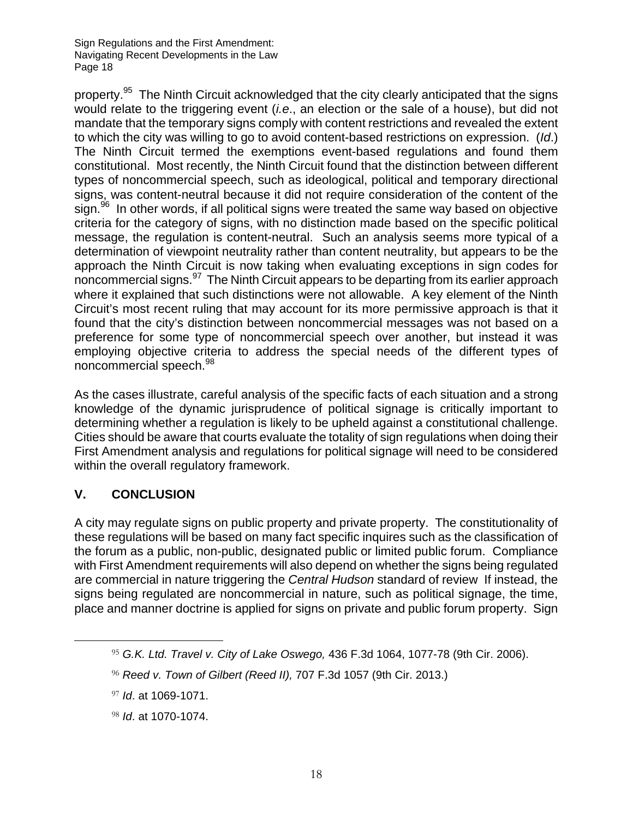property.<sup>95</sup> The Ninth Circuit acknowledged that the city clearly anticipated that the signs would relate to the triggering event (*i.e*., an election or the sale of a house), but did not mandate that the temporary signs comply with content restrictions and revealed the extent to which the city was willing to go to avoid content-based restrictions on expression. (*Id*.) The Ninth Circuit termed the exemptions event-based regulations and found them constitutional. Most recently, the Ninth Circuit found that the distinction between different types of noncommercial speech, such as ideological, political and temporary directional signs, was content-neutral because it did not require consideration of the content of the  $sign.<sup>96</sup>$  In other words, if all political signs were treated the same way based on objective criteria for the category of signs, with no distinction made based on the specific political message, the regulation is content-neutral. Such an analysis seems more typical of a determination of viewpoint neutrality rather than content neutrality, but appears to be the approach the Ninth Circuit is now taking when evaluating exceptions in sign codes for noncommercial signs.97 The Ninth Circuit appears to be departing from its earlier approach where it explained that such distinctions were not allowable. A key element of the Ninth Circuit's most recent ruling that may account for its more permissive approach is that it found that the city's distinction between noncommercial messages was not based on a preference for some type of noncommercial speech over another, but instead it was employing objective criteria to address the special needs of the different types of noncommercial speech.<sup>98</sup>

As the cases illustrate, careful analysis of the specific facts of each situation and a strong knowledge of the dynamic jurisprudence of political signage is critically important to determining whether a regulation is likely to be upheld against a constitutional challenge. Cities should be aware that courts evaluate the totality of sign regulations when doing their First Amendment analysis and regulations for political signage will need to be considered within the overall regulatory framework.

#### **V. CONCLUSION**

A city may regulate signs on public property and private property. The constitutionality of these regulations will be based on many fact specific inquires such as the classification of the forum as a public, non-public, designated public or limited public forum. Compliance with First Amendment requirements will also depend on whether the signs being regulated are commercial in nature triggering the *Central Hudson* standard of review If instead, the signs being regulated are noncommercial in nature, such as political signage, the time, place and manner doctrine is applied for signs on private and public forum property. Sign

 <sup>95</sup> *G.K. Ltd. Travel v. City of Lake Oswego,* 436 F.3d 1064, 1077-78 (9th Cir. 2006).

<sup>96</sup> *Reed v. Town of Gilbert (Reed II),* 707 F.3d 1057 (9th Cir. 2013.)

<sup>97</sup> *Id*. at 1069-1071.

<sup>98</sup> *Id*. at 1070-1074.